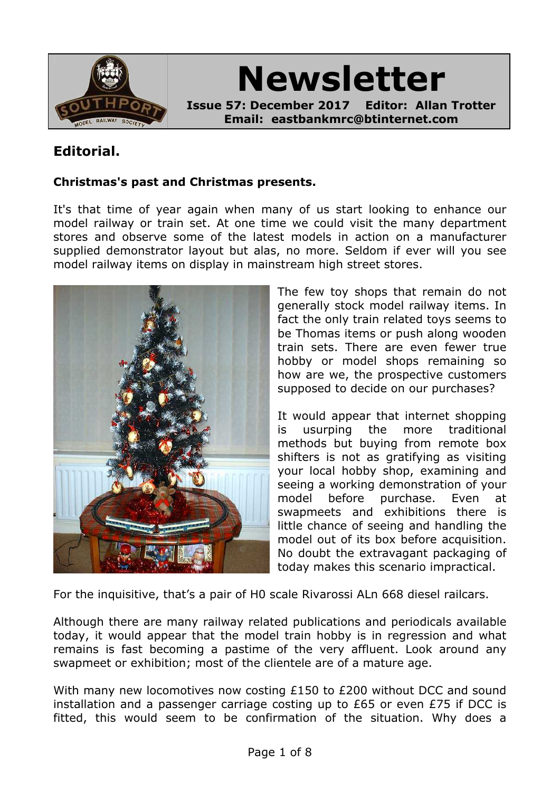

# **Newsletter**

**Issue 57: December 2017 Editor: Allan Trotter Email: eastbankmrc@btinternet.com**

# **Editorial.**

## **Christmas's past and Christmas presents.**

It's that time of year again when many of us start looking to enhance our model railway or train set. At one time we could visit the many department stores and observe some of the latest models in action on a manufacturer supplied demonstrator layout but alas, no more. Seldom if ever will you see model railway items on display in mainstream high street stores.



The few toy shops that remain do not generally stock model railway items. In fact the only train related toys seems to be Thomas items or push along wooden train sets. There are even fewer true hobby or model shops remaining so how are we, the prospective customers supposed to decide on our purchases?

It would appear that internet shopping is usurping the more traditional methods but buying from remote box shifters is not as gratifying as visiting your local hobby shop, examining and seeing a working demonstration of your model before purchase. Even at swapmeets and exhibitions there is little chance of seeing and handling the model out of its box before acquisition. No doubt the extravagant packaging of today makes this scenario impractical.

For the inquisitive, that's a pair of H0 scale Rivarossi ALn 668 diesel railcars.

Although there are many railway related publications and periodicals available today, it would appear that the model train hobby is in regression and what remains is fast becoming a pastime of the very affluent. Look around any swapmeet or exhibition; most of the clientele are of a mature age.

With many new locomotives now costing £150 to £200 without DCC and sound installation and a passenger carriage costing up to £65 or even £75 if DCC is fitted, this would seem to be confirmation of the situation. Why does a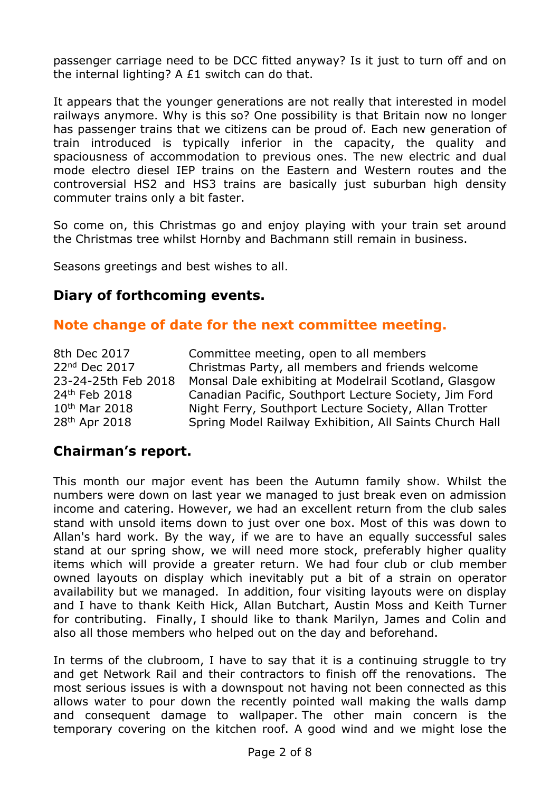passenger carriage need to be DCC fitted anyway? Is it just to turn off and on the internal lighting? A £1 switch can do that.

It appears that the younger generations are not really that interested in model railways anymore. Why is this so? One possibility is that Britain now no longer has passenger trains that we citizens can be proud of. Each new generation of train introduced is typically inferior in the capacity, the quality and spaciousness of accommodation to previous ones. The new electric and dual mode electro diesel IEP trains on the Eastern and Western routes and the controversial HS2 and HS3 trains are basically just suburban high density commuter trains only a bit faster.

So come on, this Christmas go and enjoy playing with your train set around the Christmas tree whilst Hornby and Bachmann still remain in business.

Seasons greetings and best wishes to all.

## **Diary of forthcoming events.**

## **Note change of date for the next committee meeting.**

8th Dec 2017 Committee meeting, open to all members 22<sup>nd</sup> Dec 2017 Christmas Party, all members and friends welcome 23-24-25th Feb 2018 Monsal Dale exhibiting at Modelrail Scotland, Glasgow 24th Feb 2018 Canadian Pacific, Southport Lecture Society, Jim Ford 10<sup>th</sup> Mar 2018 Night Ferry, Southport Lecture Society, Allan Trotter 28<sup>th</sup> Apr 2018 Spring Model Railway Exhibition, All Saints Church Hall

# **Chairman's report.**

This month our major event has been the Autumn family show. Whilst the numbers were down on last year we managed to just break even on admission income and catering. However, we had an excellent return from the club sales stand with unsold items down to just over one box. Most of this was down to Allan's hard work. By the way, if we are to have an equally successful sales stand at our spring show, we will need more stock, preferably higher quality items which will provide a greater return. We had four club or club member owned layouts on display which inevitably put a bit of a strain on operator availability but we managed. In addition, four visiting layouts were on display and I have to thank Keith Hick, Allan Butchart, Austin Moss and Keith Turner for contributing. Finally, I should like to thank Marilyn, James and Colin and also all those members who helped out on the day and beforehand.

In terms of the clubroom, I have to say that it is a continuing struggle to try and get Network Rail and their contractors to finish off the renovations. The most serious issues is with a downspout not having not been connected as this allows water to pour down the recently pointed wall making the walls damp and consequent damage to wallpaper. The other main concern is the temporary covering on the kitchen roof. A good wind and we might lose the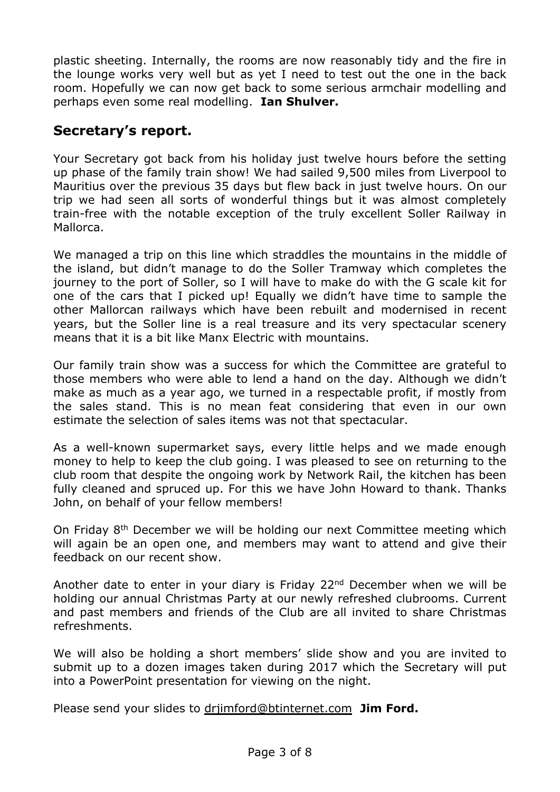plastic sheeting. Internally, the rooms are now reasonably tidy and the fire in the lounge works very well but as yet I need to test out the one in the back room. Hopefully we can now get back to some serious armchair modelling and perhaps even some real modelling. **Ian Shulver.**

# **Secretary's report.**

Your Secretary got back from his holiday just twelve hours before the setting up phase of the family train show! We had sailed 9,500 miles from Liverpool to Mauritius over the previous 35 days but flew back in just twelve hours. On our trip we had seen all sorts of wonderful things but it was almost completely train-free with the notable exception of the truly excellent Soller Railway in Mallorca.

We managed a trip on this line which straddles the mountains in the middle of the island, but didn't manage to do the Soller Tramway which completes the journey to the port of Soller, so I will have to make do with the G scale kit for one of the cars that I picked up! Equally we didn't have time to sample the other Mallorcan railways which have been rebuilt and modernised in recent years, but the Soller line is a real treasure and its very spectacular scenery means that it is a bit like Manx Electric with mountains.

Our family train show was a success for which the Committee are grateful to those members who were able to lend a hand on the day. Although we didn't make as much as a year ago, we turned in a respectable profit, if mostly from the sales stand. This is no mean feat considering that even in our own estimate the selection of sales items was not that spectacular.

As a well-known supermarket says, every little helps and we made enough money to help to keep the club going. I was pleased to see on returning to the club room that despite the ongoing work by Network Rail, the kitchen has been fully cleaned and spruced up. For this we have John Howard to thank. Thanks John, on behalf of your fellow members!

On Friday 8th December we will be holding our next Committee meeting which will again be an open one, and members may want to attend and give their feedback on our recent show.

Another date to enter in your diary is Friday 22<sup>nd</sup> December when we will be holding our annual Christmas Party at our newly refreshed clubrooms. Current and past members and friends of the Club are all invited to share Christmas refreshments.

We will also be holding a short members' slide show and you are invited to submit up to a dozen images taken during 2017 which the Secretary will put into a PowerPoint presentation for viewing on the night.

Please send your slides to [drjimford@btinternet.com](mailto:drjimford@btinternet.com) **Jim Ford.**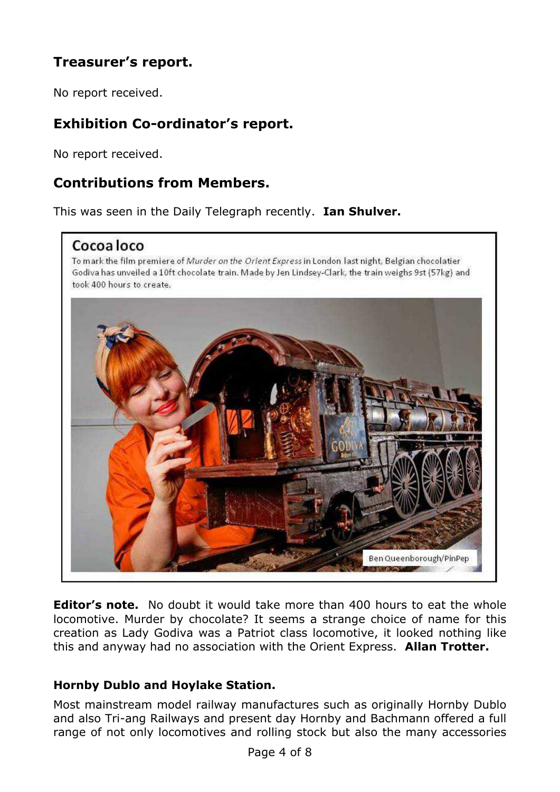# **Treasurer's report.**

No report received.

# **Exhibition Co-ordinator's report.**

No report received.

# **Contributions from Members.**

This was seen in the Daily Telegraph recently. **Ian Shulver.**

## Cocoaloco

To mark the film premiere of Murder on the Orient Express in London last night, Belgian chocolatier Godiva has unveiled a 10ft chocolate train. Made by Jen Lindsey-Clark, the train weighs 9st (57kg) and took 400 hours to create.



**Editor's note.** No doubt it would take more than 400 hours to eat the whole locomotive. Murder by chocolate? It seems a strange choice of name for this creation as Lady Godiva was a Patriot class locomotive, it looked nothing like this and anyway had no association with the Orient Express. **Allan Trotter.**

## **Hornby Dublo and Hoylake Station.**

Most mainstream model railway manufactures such as originally Hornby Dublo and also Tri-ang Railways and present day Hornby and Bachmann offered a full range of not only locomotives and rolling stock but also the many accessories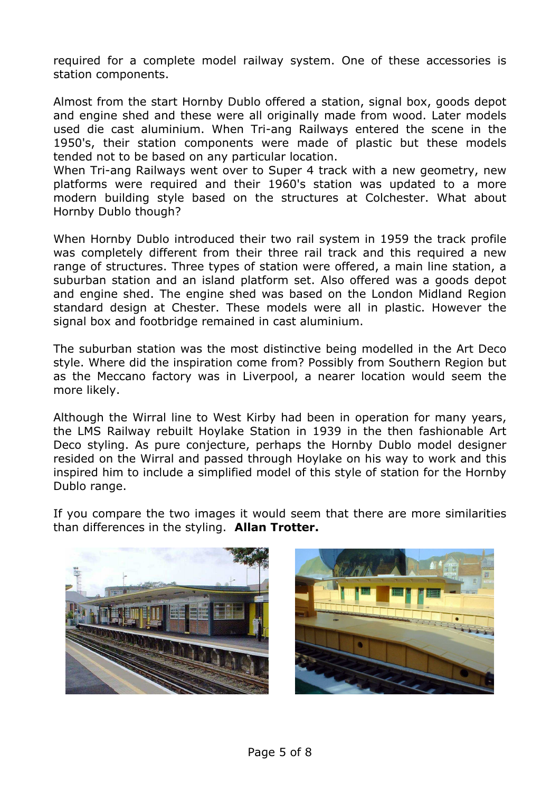required for a complete model railway system. One of these accessories is station components.

Almost from the start Hornby Dublo offered a station, signal box, goods depot and engine shed and these were all originally made from wood. Later models used die cast aluminium. When Tri-ang Railways entered the scene in the 1950's, their station components were made of plastic but these models tended not to be based on any particular location.

When Tri-ang Railways went over to Super 4 track with a new geometry, new platforms were required and their 1960's station was updated to a more modern building style based on the structures at Colchester. What about Hornby Dublo though?

When Hornby Dublo introduced their two rail system in 1959 the track profile was completely different from their three rail track and this required a new range of structures. Three types of station were offered, a main line station, a suburban station and an island platform set. Also offered was a goods depot and engine shed. The engine shed was based on the London Midland Region standard design at Chester. These models were all in plastic. However the signal box and footbridge remained in cast aluminium.

The suburban station was the most distinctive being modelled in the Art Deco style. Where did the inspiration come from? Possibly from Southern Region but as the Meccano factory was in Liverpool, a nearer location would seem the more likely.

Although the Wirral line to West Kirby had been in operation for many years, the LMS Railway rebuilt Hoylake Station in 1939 in the then fashionable Art Deco styling. As pure conjecture, perhaps the Hornby Dublo model designer resided on the Wirral and passed through Hoylake on his way to work and this inspired him to include a simplified model of this style of station for the Hornby Dublo range.

If you compare the two images it would seem that there are more similarities than differences in the styling. **Allan Trotter.**



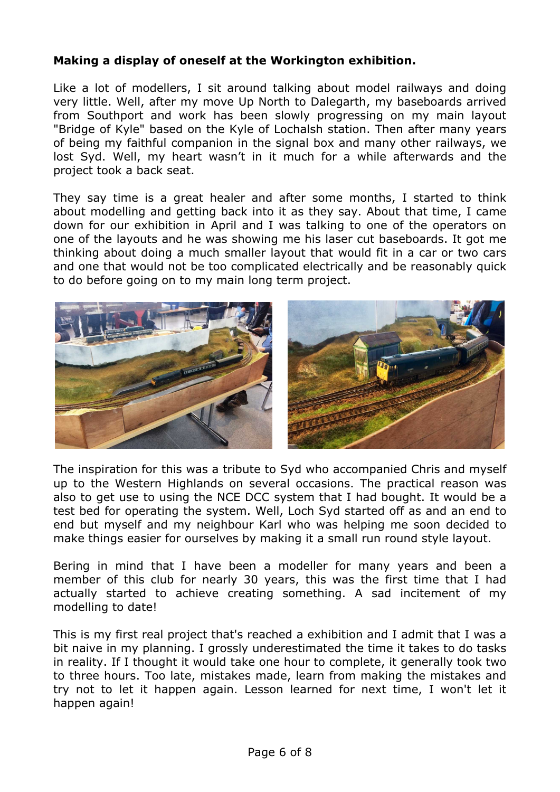## **Making a display of oneself at the Workington exhibition.**

Like a lot of modellers, I sit around talking about model railways and doing very little. Well, after my move Up North to Dalegarth, my baseboards arrived from Southport and work has been slowly progressing on my main layout "Bridge of Kyle" based on the Kyle of Lochalsh station. Then after many years of being my faithful companion in the signal box and many other railways, we lost Syd. Well, my heart wasn't in it much for a while afterwards and the project took a back seat.

They say time is a great healer and after some months, I started to think about modelling and getting back into it as they say. About that time, I came down for our exhibition in April and I was talking to one of the operators on one of the layouts and he was showing me his laser cut baseboards. It got me thinking about doing a much smaller layout that would fit in a car or two cars and one that would not be too complicated electrically and be reasonably quick to do before going on to my main long term project.



The inspiration for this was a tribute to Syd who accompanied Chris and myself up to the Western Highlands on several occasions. The practical reason was also to get use to using the NCE DCC system that I had bought. It would be a test bed for operating the system. Well, Loch Syd started off as and an end to end but myself and my neighbour Karl who was helping me soon decided to make things easier for ourselves by making it a small run round style layout.

Bering in mind that I have been a modeller for many years and been a member of this club for nearly 30 years, this was the first time that I had actually started to achieve creating something. A sad incitement of my modelling to date!

This is my first real project that's reached a exhibition and I admit that I was a bit naive in my planning. I grossly underestimated the time it takes to do tasks in reality. If I thought it would take one hour to complete, it generally took two to three hours. Too late, mistakes made, learn from making the mistakes and try not to let it happen again. Lesson learned for next time, I won't let it happen again!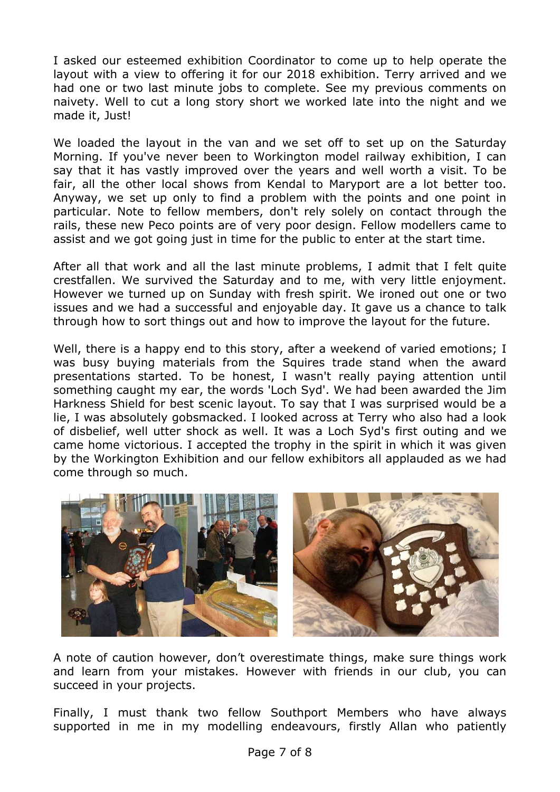I asked our esteemed exhibition Coordinator to come up to help operate the layout with a view to offering it for our 2018 exhibition. Terry arrived and we had one or two last minute jobs to complete. See my previous comments on naivety. Well to cut a long story short we worked late into the night and we made it, Just!

We loaded the layout in the van and we set off to set up on the Saturday Morning. If you've never been to Workington model railway exhibition, I can say that it has vastly improved over the years and well worth a visit. To be fair, all the other local shows from Kendal to Maryport are a lot better too. Anyway, we set up only to find a problem with the points and one point in particular. Note to fellow members, don't rely solely on contact through the rails, these new Peco points are of very poor design. Fellow modellers came to assist and we got going just in time for the public to enter at the start time.

After all that work and all the last minute problems, I admit that I felt quite crestfallen. We survived the Saturday and to me, with very little enjoyment. However we turned up on Sunday with fresh spirit. We ironed out one or two issues and we had a successful and enjoyable day. It gave us a chance to talk through how to sort things out and how to improve the layout for the future.

Well, there is a happy end to this story, after a weekend of varied emotions; I was busy buying materials from the Squires trade stand when the award presentations started. To be honest, I wasn't really paying attention until something caught my ear, the words 'Loch Syd'. We had been awarded the Jim Harkness Shield for best scenic layout. To say that I was surprised would be a lie, I was absolutely gobsmacked. I looked across at Terry who also had a look of disbelief, well utter shock as well. It was a Loch Syd's first outing and we came home victorious. I accepted the trophy in the spirit in which it was given by the Workington Exhibition and our fellow exhibitors all applauded as we had come through so much.



A note of caution however, don't overestimate things, make sure things work and learn from your mistakes. However with friends in our club, you can succeed in your projects.

Finally, I must thank two fellow Southport Members who have always supported in me in my modelling endeavours, firstly Allan who patiently